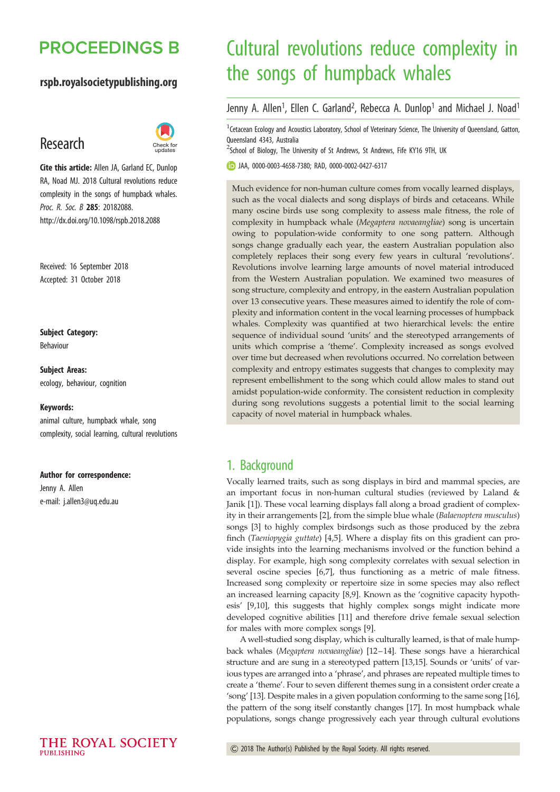## **PROCEEDINGS B**

### rspb.royalsocietypublishing.org

## Research



Cite this article: Allen JA, Garland EC, Dunlop RA, Noad MJ. 2018 Cultural revolutions reduce complexity in the songs of humpback whales. Proc. R. Soc. B 285: 20182088. http://dx.doi.org/10.1098/rspb.2018.2088

Received: 16 September 2018 Accepted: 31 October 2018

Subject Category: Behaviour

Subject Areas: ecology, behaviour, cognition

#### Keywords:

animal culture, humpback whale, song complexity, social learning, cultural revolutions

#### Author for correspondence:

Jenny A. Allen e-mail: [j.allen3@uq.edu.au](mailto:j.allen3@uq.edu.au)

# Cultural revolutions reduce complexity in the songs of humpback whales

Jenny A. Allen<sup>1</sup>, Ellen C. Garland<sup>2</sup>, Rebecca A. Dunlop<sup>1</sup> and Michael J. Noad<sup>1</sup>

<sup>1</sup> Cetacean Ecology and Acoustics Laboratory, School of Veterinary Science, The University of Queensland, Gatton, Queensland 4343, Australia

<sup>2</sup>School of Biology, The University of St Andrews, St Andrews, Fife KY16 9TH, UK

JAA, [0000-0003-4658-7380](http://orcid.org/0000-0003-4658-7380); RAD, [0000-0002-0427-6317](http://orcid.org/0000-0002-0427-6317)

Much evidence for non-human culture comes from vocally learned displays, such as the vocal dialects and song displays of birds and cetaceans. While many oscine birds use song complexity to assess male fitness, the role of complexity in humpback whale (Megaptera novaeangliae) song is uncertain owing to population-wide conformity to one song pattern. Although songs change gradually each year, the eastern Australian population also completely replaces their song every few years in cultural 'revolutions'. Revolutions involve learning large amounts of novel material introduced from the Western Australian population. We examined two measures of song structure, complexity and entropy, in the eastern Australian population over 13 consecutive years. These measures aimed to identify the role of complexity and information content in the vocal learning processes of humpback whales. Complexity was quantified at two hierarchical levels: the entire sequence of individual sound 'units' and the stereotyped arrangements of units which comprise a 'theme'. Complexity increased as songs evolved over time but decreased when revolutions occurred. No correlation between complexity and entropy estimates suggests that changes to complexity may represent embellishment to the song which could allow males to stand out amidst population-wide conformity. The consistent reduction in complexity during song revolutions suggests a potential limit to the social learning capacity of novel material in humpback whales.

## 1. Background

Vocally learned traits, such as song displays in bird and mammal species, are an important focus in non-human cultural studies (reviewed by Laland & Janik [\[1\]](#page-4-0)). These vocal learning displays fall along a broad gradient of complexity in their arrangements [[2](#page-4-0)], from the simple blue whale (Balaenoptera musculus) songs [\[3\]](#page-4-0) to highly complex birdsongs such as those produced by the zebra finch (Taeniopygia guttate) [\[4,5\]](#page-4-0). Where a display fits on this gradient can provide insights into the learning mechanisms involved or the function behind a display. For example, high song complexity correlates with sexual selection in several oscine species [\[6,7\]](#page-4-0), thus functioning as a metric of male fitness. Increased song complexity or repertoire size in some species may also reflect an increased learning capacity [\[8,9](#page-4-0)]. Known as the 'cognitive capacity hypothesis' [[9](#page-4-0),[10\]](#page-4-0), this suggests that highly complex songs might indicate more developed cognitive abilities [[11\]](#page-4-0) and therefore drive female sexual selection for males with more complex songs [[9](#page-4-0)].

A well-studied song display, which is culturally learned, is that of male humpback whales (Megaptera novaeangliae) [[12](#page-4-0)–[14](#page-5-0)]. These songs have a hierarchical structure and are sung in a stereotyped pattern [\[13,15\]](#page-5-0). Sounds or 'units' of various types are arranged into a 'phrase', and phrases are repeated multiple times to create a 'theme'. Four to seven different themes sung in a consistent order create a 'song' [[13\]](#page-5-0). Despite males in a given population conforming to the same song [\[16\]](#page-5-0), the pattern of the song itself constantly changes [\[17\]](#page-5-0). In most humpback whale populations, songs change progressively each year through cultural evolutions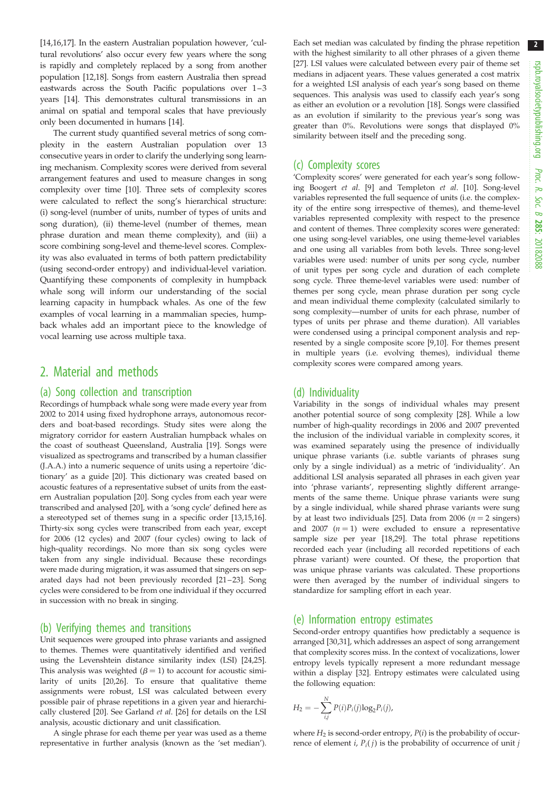2

[\[14,16,17\]](#page-5-0). In the eastern Australian population however, 'cultural revolutions' also occur every few years where the song is rapidly and completely replaced by a song from another population [\[12,](#page-4-0)[18\]](#page-5-0). Songs from eastern Australia then spread eastwards across the South Pacific populations over 1–3 years [[14\]](#page-5-0). This demonstrates cultural transmissions in an animal on spatial and temporal scales that have previously only been documented in humans [\[14\]](#page-5-0).

The current study quantified several metrics of song complexity in the eastern Australian population over 13 consecutive years in order to clarify the underlying song learning mechanism. Complexity scores were derived from several arrangement features and used to measure changes in song complexity over time [\[10](#page-4-0)]. Three sets of complexity scores were calculated to reflect the song's hierarchical structure: (i) song-level (number of units, number of types of units and song duration), (ii) theme-level (number of themes, mean phrase duration and mean theme complexity), and (iii) a score combining song-level and theme-level scores. Complexity was also evaluated in terms of both pattern predictability (using second-order entropy) and individual-level variation. Quantifying these components of complexity in humpback whale song will inform our understanding of the social learning capacity in humpback whales. As one of the few examples of vocal learning in a mammalian species, humpback whales add an important piece to the knowledge of vocal learning use across multiple taxa.

## 2. Material and methods

#### (a) Song collection and transcription

Recordings of humpback whale song were made every year from 2002 to 2014 using fixed hydrophone arrays, autonomous recorders and boat-based recordings. Study sites were along the migratory corridor for eastern Australian humpback whales on the coast of southeast Queensland, Australia [\[19\]](#page-5-0). Songs were visualized as spectrograms and transcribed by a human classifier (J.A.A.) into a numeric sequence of units using a repertoire 'dictionary' as a guide [\[20\]](#page-5-0). This dictionary was created based on acoustic features of a representative subset of units from the eastern Australian population [\[20\]](#page-5-0). Song cycles from each year were transcribed and analysed [[20](#page-5-0)], with a 'song cycle' defined here as a stereotyped set of themes sung in a specific order [[13,15,16\]](#page-5-0). Thirty-six song cycles were transcribed from each year, except for 2006 (12 cycles) and 2007 (four cycles) owing to lack of high-quality recordings. No more than six song cycles were taken from any single individual. Because these recordings were made during migration, it was assumed that singers on sep-arated days had not been previously recorded [[21](#page-5-0)-23]. Song cycles were considered to be from one individual if they occurred in succession with no break in singing.

#### (b) Verifying themes and transitions

Unit sequences were grouped into phrase variants and assigned to themes. Themes were quantitatively identified and verified using the Levenshtein distance similarity index (LSI) [\[24,25\]](#page-5-0). This analysis was weighted  $(\beta = 1)$  to account for acoustic similarity of units [\[20,26\]](#page-5-0). To ensure that qualitative theme assignments were robust, LSI was calculated between every possible pair of phrase repetitions in a given year and hierarchically clustered [[20](#page-5-0)]. See Garland et al. [\[26\]](#page-5-0) for details on the LSI analysis, acoustic dictionary and unit classification.

A single phrase for each theme per year was used as a theme representative in further analysis (known as the 'set median'). Each set median was calculated by finding the phrase repetition with the highest similarity to all other phrases of a given theme [[27](#page-5-0)]. LSI values were calculated between every pair of theme set medians in adjacent years. These values generated a cost matrix for a weighted LSI analysis of each year's song based on theme sequences. This analysis was used to classify each year's song as either an evolution or a revolution [\[18\]](#page-5-0). Songs were classified as an evolution if similarity to the previous year's song was greater than 0%. Revolutions were songs that displayed 0% similarity between itself and the preceding song.

#### (c) Complexity scores

'Complexity scores' were generated for each year's song following Boogert et al. [[9](#page-4-0)] and Templeton et al. [\[10\]](#page-4-0). Song-level variables represented the full sequence of units (i.e. the complexity of the entire song irrespective of themes), and theme-level variables represented complexity with respect to the presence and content of themes. Three complexity scores were generated: one using song-level variables, one using theme-level variables and one using all variables from both levels. Three song-level variables were used: number of units per song cycle, number of unit types per song cycle and duration of each complete song cycle. Three theme-level variables were used: number of themes per song cycle, mean phrase duration per song cycle and mean individual theme complexity (calculated similarly to song complexity—number of units for each phrase, number of types of units per phrase and theme duration). All variables were condensed using a principal component analysis and represented by a single composite score [\[9,10](#page-4-0)]. For themes present in multiple years (i.e. evolving themes), individual theme complexity scores were compared among years.

#### (d) Individuality

Variability in the songs of individual whales may present another potential source of song complexity [\[28\]](#page-5-0). While a low number of high-quality recordings in 2006 and 2007 prevented the inclusion of the individual variable in complexity scores, it was examined separately using the presence of individually unique phrase variants (i.e. subtle variants of phrases sung only by a single individual) as a metric of 'individuality'. An additional LSI analysis separated all phrases in each given year into 'phrase variants', representing slightly different arrangements of the same theme. Unique phrase variants were sung by a single individual, while shared phrase variants were sung by at least two individuals [[25](#page-5-0)]. Data from 2006 ( $n = 2$  singers) and 2007  $(n = 1)$  were excluded to ensure a representative sample size per year [[18,29\]](#page-5-0). The total phrase repetitions recorded each year (including all recorded repetitions of each phrase variant) were counted. Of these, the proportion that was unique phrase variants was calculated. These proportions were then averaged by the number of individual singers to standardize for sampling effort in each year.

#### (e) Information entropy estimates

Second-order entropy quantifies how predictably a sequence is arranged [\[30,31](#page-5-0)], which addresses an aspect of song arrangement that complexity scores miss. In the context of vocalizations, lower entropy levels typically represent a more redundant message within a display [\[32\]](#page-5-0). Entropy estimates were calculated using the following equation:

$$
H_2 = -\sum_{i,j}^{N} P(i)P_i(j)\log_2 P_i(j),
$$

where  $H_2$  is second-order entropy,  $P(i)$  is the probability of occurrence of element *i*,  $P_i(j)$  is the probability of occurrence of unit *j*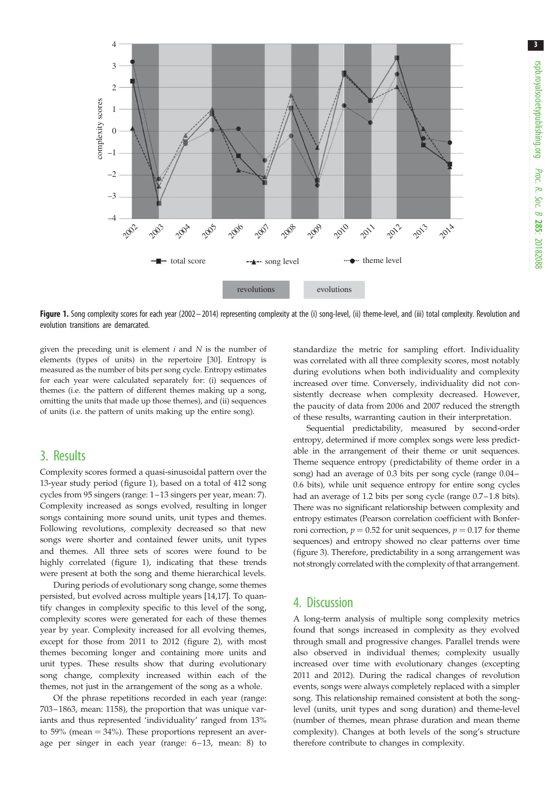

Figure 1. Song complexity scores for each year (2002 – 2014) representing complexity at the (i) song-level, (ii) theme-level, and (iii) total complexity. Revolution and evolution transitions are demarcated.

given the preceding unit is element  $i$  and  $N$  is the number of elements (types of units) in the repertoire [[30\]](#page-5-0). Entropy is measured as the number of bits per song cycle. Entropy estimates for each year were calculated separately for: (i) sequences of themes (i.e. the pattern of different themes making up a song, omitting the units that made up those themes), and (ii) sequences of units (i.e. the pattern of units making up the entire song).

## 3. Results

Complexity scores formed a quasi-sinusoidal pattern over the 13-year study period (figure 1), based on a total of 412 song cycles from 95 singers (range: 1–13 singers per year, mean: 7). Complexity increased as songs evolved, resulting in longer songs containing more sound units, unit types and themes. Following revolutions, complexity decreased so that new songs were shorter and contained fewer units, unit types and themes. All three sets of scores were found to be highly correlated (figure 1), indicating that these trends were present at both the song and theme hierarchical levels.

During periods of evolutionary song change, some themes persisted, but evolved across multiple years [\[14,17](#page-5-0)]. To quantify changes in complexity specific to this level of the song, complexity scores were generated for each of these themes year by year. Complexity increased for all evolving themes, except for those from 2011 to 2012 [\(figure 2\)](#page-3-0), with most themes becoming longer and containing more units and unit types. These results show that during evolutionary song change, complexity increased within each of the themes, not just in the arrangement of the song as a whole.

Of the phrase repetitions recorded in each year (range: 703 –1863, mean: 1158), the proportion that was unique variants and thus represented 'individuality' ranged from 13% to 59% (mean  $=$  34%). These proportions represent an average per singer in each year (range: 6–13, mean: 8) to

standardize the metric for sampling effort. Individuality was correlated with all three complexity scores, most notably during evolutions when both individuality and complexity increased over time. Conversely, individuality did not consistently decrease when complexity decreased. However, the paucity of data from 2006 and 2007 reduced the strength of these results, warranting caution in their interpretation.

Sequential predictability, measured by second-order entropy, determined if more complex songs were less predictable in the arrangement of their theme or unit sequences. Theme sequence entropy (predictability of theme order in a song) had an average of 0.3 bits per song cycle (range 0.04– 0.6 bits), while unit sequence entropy for entire song cycles had an average of 1.2 bits per song cycle (range 0.7-1.8 bits). There was no significant relationship between complexity and entropy estimates (Pearson correlation coefficient with Bonferroni correction,  $p = 0.52$  for unit sequences,  $p = 0.17$  for theme sequences) and entropy showed no clear patterns over time ([figure 3\)](#page-3-0). Therefore, predictability in a song arrangement was not strongly correlated with the complexity of that arrangement.

## 4. Discussion

A long-term analysis of multiple song complexity metrics found that songs increased in complexity as they evolved through small and progressive changes. Parallel trends were also observed in individual themes; complexity usually increased over time with evolutionary changes (excepting 2011 and 2012). During the radical changes of revolution events, songs were always completely replaced with a simpler song. This relationship remained consistent at both the songlevel (units, unit types and song duration) and theme-level (number of themes, mean phrase duration and mean theme complexity). Changes at both levels of the song's structure therefore contribute to changes in complexity.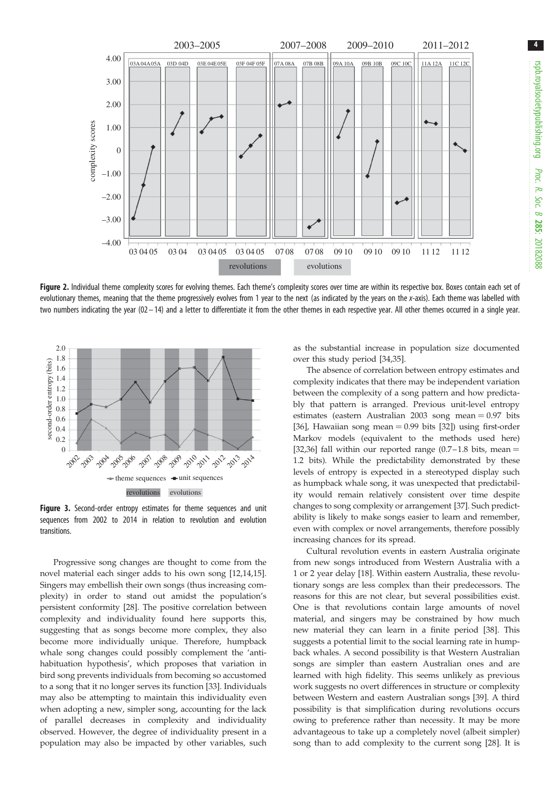<span id="page-3-0"></span>

Figure 2. Individual theme complexity scores for evolving themes. Each theme's complexity scores over time are within its respective box. Boxes contain each set of evolutionary themes, meaning that the theme progressively evolves from 1 year to the next (as indicated by the years on the x-axis). Each theme was labelled with two numbers indicating the year  $(02-14)$  and a letter to differentiate it from the other themes in each respective year. All other themes occurred in a single year.



Figure 3. Second-order entropy estimates for theme sequences and unit sequences from 2002 to 2014 in relation to revolution and evolution transitions.

Progressive song changes are thought to come from the novel material each singer adds to his own song [[12,](#page-4-0)[14,15](#page-5-0)]. Singers may embellish their own songs (thus increasing complexity) in order to stand out amidst the population's persistent conformity [\[28](#page-5-0)]. The positive correlation between complexity and individuality found here supports this, suggesting that as songs become more complex, they also become more individually unique. Therefore, humpback whale song changes could possibly complement the 'antihabituation hypothesis', which proposes that variation in bird song prevents individuals from becoming so accustomed to a song that it no longer serves its function [[33\]](#page-5-0). Individuals may also be attempting to maintain this individuality even when adopting a new, simpler song, accounting for the lack of parallel decreases in complexity and individuality observed. However, the degree of individuality present in a population may also be impacted by other variables, such as the substantial increase in population size documented over this study period [\[34](#page-5-0),[35\]](#page-5-0).

The absence of correlation between entropy estimates and complexity indicates that there may be independent variation between the complexity of a song pattern and how predictably that pattern is arranged. Previous unit-level entropy estimates (eastern Australian  $2003$  song mean  $= 0.97$  bits [[36\]](#page-5-0), Hawaiian song mean  $= 0.99$  bits [[32\]](#page-5-0)) using first-order Markov models (equivalent to the methods used here) [[32,36\]](#page-5-0) fall within our reported range  $(0.7-1.8)$  bits, mean = 1.2 bits). While the predictability demonstrated by these levels of entropy is expected in a stereotyped display such as humpback whale song, it was unexpected that predictability would remain relatively consistent over time despite changes to song complexity or arrangement [[37](#page-5-0)]. Such predictability is likely to make songs easier to learn and remember, even with complex or novel arrangements, therefore possibly increasing chances for its spread.

Cultural revolution events in eastern Australia originate from new songs introduced from Western Australia with a 1 or 2 year delay [[18\]](#page-5-0). Within eastern Australia, these revolutionary songs are less complex than their predecessors. The reasons for this are not clear, but several possibilities exist. One is that revolutions contain large amounts of novel material, and singers may be constrained by how much new material they can learn in a finite period [[38\]](#page-5-0). This suggests a potential limit to the social learning rate in humpback whales. A second possibility is that Western Australian songs are simpler than eastern Australian ones and are learned with high fidelity. This seems unlikely as previous work suggests no overt differences in structure or complexity between Western and eastern Australian songs [[39\]](#page-5-0). A third possibility is that simplification during revolutions occurs owing to preference rather than necessity. It may be more advantageous to take up a completely novel (albeit simpler) song than to add complexity to the current song [[28\]](#page-5-0). It is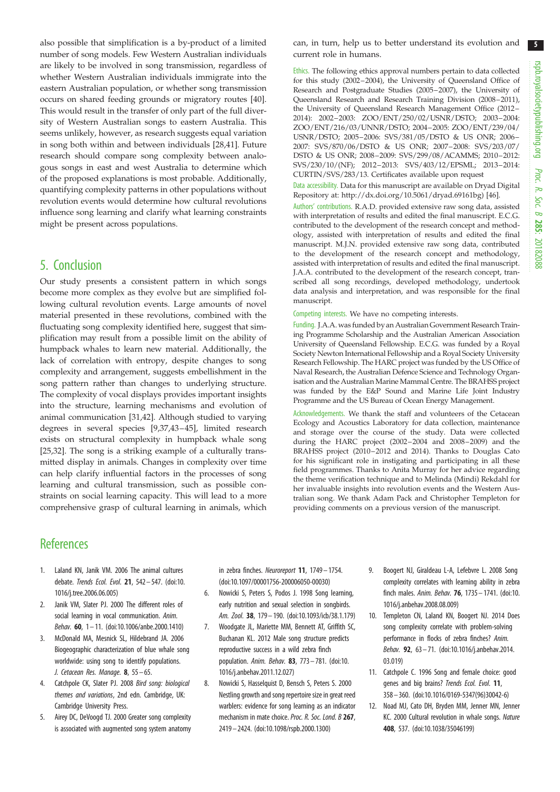<span id="page-4-0"></span>also possible that simplification is a by-product of a limited number of song models. Few Western Australian individuals are likely to be involved in song transmission, regardless of whether Western Australian individuals immigrate into the eastern Australian population, or whether song transmission occurs on shared feeding grounds or migratory routes [\[40](#page-5-0)]. This would result in the transfer of only part of the full diversity of Western Australian songs to eastern Australia. This seems unlikely, however, as research suggests equal variation in song both within and between individuals [\[28,41](#page-5-0)]. Future research should compare song complexity between analogous songs in east and west Australia to determine which of the proposed explanations is most probable. Additionally, quantifying complexity patterns in other populations without revolution events would determine how cultural revolutions influence song learning and clarify what learning constraints might be present across populations.

## 5. Conclusion

Our study presents a consistent pattern in which songs become more complex as they evolve but are simplified following cultural revolution events. Large amounts of novel material presented in these revolutions, combined with the fluctuating song complexity identified here, suggest that simplification may result from a possible limit on the ability of humpback whales to learn new material. Additionally, the lack of correlation with entropy, despite changes to song complexity and arrangement, suggests embellishment in the song pattern rather than changes to underlying structure. The complexity of vocal displays provides important insights into the structure, learning mechanisms and evolution of animal communication [\[31,42](#page-5-0)]. Although studied to varying degrees in several species [9,[37,43](#page-5-0) –[45\]](#page-5-0), limited research exists on structural complexity in humpback whale song [\[25](#page-5-0),[32\]](#page-5-0). The song is a striking example of a culturally transmitted display in animals. Changes in complexity over time can help clarify influential factors in the processes of song learning and cultural transmission, such as possible constraints on social learning capacity. This will lead to a more comprehensive grasp of cultural learning in animals, which can, in turn, help us to better understand its evolution and current role in humans.

Ethics. The following ethics approval numbers pertain to data collected for this study (2002–2004), the University of Queensland Office of Research and Postgraduate Studies (2005–2007), the University of Queensland Research and Research Training Division (2008–2011), the University of Queensland Research Management Office (2012– 2014): 2002–2003: ZOO/ENT/250/02/USNR/DSTO; 2003–2004: ZOO/ENT/216/03/UNNR/DSTO; 2004–2005: ZOO/ENT/239/04/ USNR/DSTO; 2005–2006: SVS/381/05/DSTO & US ONR; 2006– 2007: SVS/870/06/DSTO & US ONR; 2007–2008: SVS/203/07/ DSTO & US ONR; 2008–2009: SVS/299/08/ACAMMS; 2010–2012: SVS/230/10/(NF); 2012–2013: SVS/403/12/EPSML; 2013–2014: CURTIN/SVS/283/13. Certificates available upon request

Data accessibility. Data for this manuscript are available on Dryad Digital Repository at: [http://dx.doi.org/10.5061/dryad.69161bg\)](http://dx.doi.org/10.5061/dryad.69161bg) [[46\]](#page-5-0).

Authors' contributions. R.A.D. provided extensive raw song data, assisted with interpretation of results and edited the final manuscript. E.C.G. contributed to the development of the research concept and methodology, assisted with interpretation of results and edited the final manuscript. M.J.N. provided extensive raw song data, contributed to the development of the research concept and methodology, assisted with interpretation of results and edited the final manuscript. J.A.A. contributed to the development of the research concept, transcribed all song recordings, developed methodology, undertook data analysis and interpretation, and was responsible for the final manuscript.

Competing interests. We have no competing interests.

Funding. J.A.A. was funded by an Australian Government Research Training Programme Scholarship and the Australian American Association University of Queensland Fellowship. E.C.G. was funded by a Royal Society Newton International Fellowship and a Royal Society University Research Fellowship. The HARC project was funded by the US Office of Naval Research, the Australian Defence Science and Technology Organisation and the Australian Marine Mammal Centre. The BRAHSS project was funded by the E&P Sound and Marine Life Joint Industry Programme and the US Bureau of Ocean Energy Management.

Acknowledgements. We thank the staff and volunteers of the Cetacean Ecology and Acoustics Laboratory for data collection, maintenance and storage over the course of the study. Data were collected during the HARC project (2002–2004 and 2008–2009) and the BRAHSS project (2010–2012 and 2014). Thanks to Douglas Cato for his significant role in instigating and participating in all these field programmes. Thanks to Anita Murray for her advice regarding the theme verification technique and to Melinda (Mindi) Rekdahl for her invaluable insights into revolution events and the Western Australian song. We thank Adam Pack and Christopher Templeton for providing comments on a previous version of the manuscript.

## **References**

- 1. Laland KN, Janik VM. 2006 The animal cultures debate. Trends Ecol. Evol. 21, 542– 547. [\(doi:10.](http://dx.doi.org/10.1016/j.tree.2006.06.005) [1016/j.tree.2006.06.005](http://dx.doi.org/10.1016/j.tree.2006.06.005))
- 2. Janik VM, Slater PJ. 2000 The different roles of social learning in vocal communication. Anim. Behav. 60, 1– 11. ([doi:10.1006/anbe.2000.1410](http://dx.doi.org/10.1006/anbe.2000.1410))
- 3. McDonald MA, Mesnick SL, Hildebrand JA. 2006 Biogeographic characterization of blue whale song worldwide: using song to identify populations. J. Cetacean Res. Manage.  $8, 55 - 65.$
- 4. Catchpole CK, Slater PJ. 2008 Bird song: biological themes and variations, 2nd edn. Cambridge, UK: Cambridge University Press.
- 5. Airey DC, DeVoogd TJ. 2000 Greater song complexity is associated with augmented song system anatomy

in zebra finches. Neuroreport 11, 1749 – 1754. [\(doi:10.1097/00001756-200006050-00030\)](http://dx.doi.org/10.1097/00001756-200006050-00030)

- 6. Nowicki S, Peters S, Podos J. 1998 Song learning, early nutrition and sexual selection in songbirds. Am. Zool. 38, 179 – 190. [\(doi:10.1093/icb/38.1.179\)](http://dx.doi.org/10.1093/icb/38.1.179)
- 7. Woodgate JL, Mariette MM, Bennett AT, Griffith SC, Buchanan KL. 2012 Male song structure predicts reproductive success in a wild zebra finch population. Anim. Behav. 83, 773– 781. [\(doi:10.](http://dx.doi.org/10.1016/j.anbehav.2011.12.027) [1016/j.anbehav.2011.12.027\)](http://dx.doi.org/10.1016/j.anbehav.2011.12.027)
- 8. Nowicki S, Hasselquist D, Bensch S, Peters S. 2000 Nestling growth and song repertoire size in great reed warblers: evidence for song learning as an indicator mechanism in mate choice. Proc. R. Soc. Lond. B 267, 2419 – 2424. ([doi:10.1098/rspb.2000.1300](http://dx.doi.org/10.1098/rspb.2000.1300))
- 9. Boogert NJ, Giraldeau L-A, Lefebvre L. 2008 Song complexity correlates with learning ability in zebra finch males. Anim. Behav. 76, 1735 – 1741. [\(doi:10.](http://dx.doi.org/10.1016/j.anbehav.2008.08.009) [1016/j.anbehav.2008.08.009\)](http://dx.doi.org/10.1016/j.anbehav.2008.08.009)
- 10. Templeton CN, Laland KN, Boogert NJ. 2014 Does song complexity correlate with problem-solving performance in flocks of zebra finches? Anim. Behav. 92, 63– 71. [\(doi:10.1016/j.anbehav.2014.](http://dx.doi.org/10.1016/j.anbehav.2014.03.019) [03.019](http://dx.doi.org/10.1016/j.anbehav.2014.03.019))
- 11. Catchpole C. 1996 Song and female choice: good genes and big brains? Trends Ecol. Evol. 11, 358– 360. [\(doi:10.1016/0169-5347\(96\)30042-6](http://dx.doi.org/10.1016/0169-5347(96)30042-6))
- 12. Noad MJ, Cato DH, Bryden MM, Jenner MN, Jenner KC. 2000 Cultural revolution in whale songs. Nature 408, 537. ([doi:10.1038/35046199](http://dx.doi.org/10.1038/35046199))